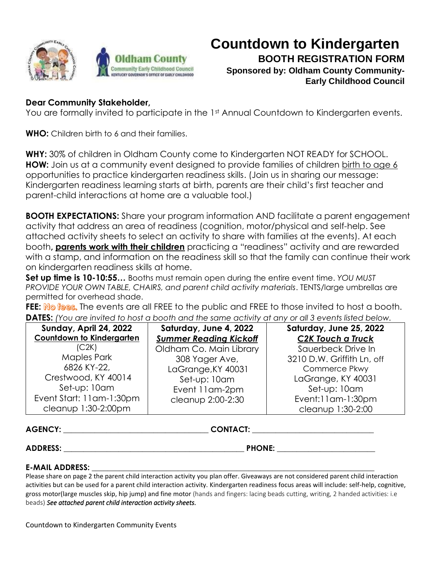



## **Countdown to Kindergarten BOOTH REGISTRATION FORM Sponsored by: Oldham County Community-Early Childhood Council**

## **Dear Community Stakeholder,**

You are formally invited to participate in the 1st Annual Countdown to Kindergarten events.

**WHO:** Children birth to 6 and their families.

**WHY:** 30% of children in Oldham County come to Kindergarten NOT READY for SCHOOL. **HOW:** Join us at a community event designed to provide families of children birth to age 6 opportunities to practice kindergarten readiness skills. (Join us in sharing our message: Kindergarten readiness learning starts at birth, parents are their child's first teacher and parent-child interactions at home are a valuable tool.)

**BOOTH EXPECTATIONS:** Share your program information AND facilitate a parent engagement activity that address an area of readiness (cognition, motor/physical and self-help. See attached activity sheets to select an activity to share with families at the events). At each booth**, parents work with their children** practicing a "readiness" activity and are rewarded with a stamp, and information on the readiness skill so that the family can continue their work on kindergarten readiness skills at home.

**Set up time is 10-10:55…** Booths must remain open during the entire event time. *YOU MUST PROVIDE YOUR OWN TABLE, CHAIRS, and parent child activity materials*. TENTS/large umbrellas are permitted for overhead shade.

FEE: No fees. The events are all FREE to the public and FREE to those invited to host a booth. **DATES:** *(You are invited to host a booth and the same activity at any or all 3 events listed below.* 

| Sunday, April 24, 2022           | Saturday, June 4, 2022        | Saturday, June 25, 2022    |
|----------------------------------|-------------------------------|----------------------------|
| <b>Countdown to Kindergarten</b> | <b>Summer Reading Kickoff</b> | <b>C2K Touch a Truck</b>   |
| (C2K)                            | Oldham Co. Main Library       | Sauerbeck Drive In         |
| <b>Maples Park</b>               | 308 Yager Ave,                | 3210 D.W. Griffith Ln, off |
| 6826 KY-22,                      | LaGrange, KY 40031            | Commerce Pkwy              |
| Crestwood, KY 40014              | Set-up: 10am                  | LaGrange, KY 40031         |
| Set-up: 10am                     | Event 11 am-2pm               | Set-up: 10am               |
| Event Start: 11am-1:30pm         | cleanup 2:00-2:30             | Event:11am-1:30pm          |
| cleanup 1:30-2:00pm              |                               | cleanup 1:30-2:00          |

**AGENCY: \_\_\_\_\_\_\_\_\_\_\_\_\_\_\_\_\_\_\_\_\_\_\_\_\_\_\_\_\_\_\_\_\_\_\_\_\_ CONTACT: \_\_\_\_\_\_\_\_\_\_\_\_\_\_\_\_\_\_\_\_\_\_\_\_\_\_\_\_\_\_\_**

 $\mathsf{ADDRESS:}\qquad \qquad \qquad \qquad \mathsf{PHONE:}\qquad \qquad \qquad \qquad \mathsf{PHONE:}\qquad \qquad \qquad \mathsf{PHONE:}\qquad \qquad \qquad \mathsf{PHONE:}\qquad \qquad \qquad \mathsf{PHONE:}\qquad \qquad \qquad \mathsf{PHONE:}\qquad \qquad \qquad \mathsf{PHONE:}\qquad \qquad \qquad \mathsf{PHONE:}\qquad \qquad \qquad \mathsf{PHONE:}\qquad \qquad \qquad \mathsf{PHONE:}\qquad \qquad \qquad \mathsf{PHONE:}\qquad \qquad \qquad \mathsf{PHONE:}\qquad \$ 

## **E-MAIL ADDRESS: \_\_\_\_\_\_\_\_\_\_\_\_\_\_\_\_\_\_\_\_\_\_\_\_\_\_\_\_\_\_\_\_\_\_\_\_\_\_\_\_\_\_\_\_\_\_\_\_\_\_\_\_**\_\_\_\_\_\_\_\_\_\_\_\_\_\_\_\_\_\_\_\_

Please share on page 2 the parent child interaction activity you plan offer. Giveaways are not considered parent child interaction activities but can be used for a parent child interaction activity. Kindergarten readiness focus areas will include: self-help, cognitive, gross motor(large muscles skip, hip jump) and fine motor (hands and fingers: lacing beads cutting, writing, 2 handed activities: i.e beads) *See attached parent child interaction activity sheets.*